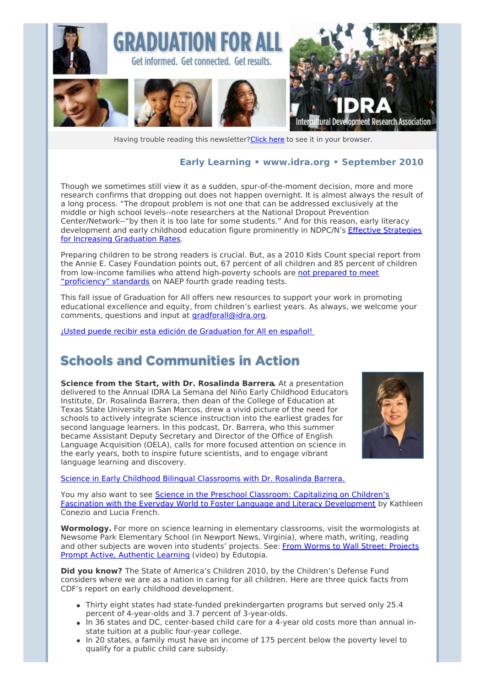

Having trouble reading this newsletter? Click here to see it in your browser.

#### **Early Learning • [www.idra.org](http://idra.createsend1.com/t/1/l/akiitl/l/www.idra.org) • September 2010**

Though we sometimes still view it as a sudden, spur-of-the-moment decision, more and more research confirms that dropping out does not happen overnight. It is almost always the result of a long process. "The dropout problem is not one that can be addressed exclusively at the middle or high school levels--note researchers at the National Dropout Prevention Center/Network--"by then it is too late for some students." And for this reason, early literacy [development](http://idra.createsend1.com/t/r/l/akiitl/l/r) and early childhood education figure prominently in NDPC/N's Effective Strategies for Increasing Graduation Rates.

Preparing children to be strong readers is crucial. But, as a 2010 Kids Count special report from the Annie E. Casey Foundation points out, 67 percent of all children and 85 percent of children from low-income families who attend [high-poverty](http://idra.createsend1.com/t/r/l/akiitl/l/y) schools are not prepared to meet "proficiency" standards on NAEP fourth grade reading tests.

This fall issue of Graduation for All offers new resources to support your work in promoting educational excellence and equity, from children's earliest years. As always, we welcome your comments, questions and input at [gradforall@idra.org](mailto:gradforall@idra.org?subject=Graduation for All%3A Early Learning).

¡Usted puede recibir esta edición de [Graduation](http://idra.createsend1.com/t/r/l/akiitl/l/j) for All en español!

### **Schools and Communities in Action**

**Science from the Start, with Dr. Rosalinda Barrera.** At a presentation delivered to the Annual IDRA La Semana del Niño Early Childhood Educators Institute, Dr. Rosalinda Barrera, then dean of the College of Education at Texas State University in San Marcos, drew a vivid picture of the need for schools to actively integrate science instruction into the earliest grades for second language learners. In this podcast, Dr. Barrera, who this summer became Assistant Deputy Secretary and Director of the Office of English Language Acquisition (OELA), calls for more focused attention on science in the early years, both to inspire future scientists, and to engage vibrant language learning and discovery.



Science in Early Childhood Bilingual [Classrooms](http://idra.createsend1.com/t/r/l/akiitl/l/t) with Dr. Rosalinda Barrera.

You my also want to see Science in the Preschool Classroom: Capitalizing on Children's Fascination with the Everyday World to Foster Language and Literacy [Development](http://idra.createsend1.com/t/r/l/akiitl/l/i) by Kathleen Conezio and Lucia French.

**Wormology.** For more on science learning in elementary classrooms, visit the wormologists at Newsome Park Elementary School (in Newport News, Virginia), where math, writing, reading and other subjects are woven into students' projects. See: From Worms to Wall Street: Projects Prompt Active, [Authentic](http://idra.createsend1.com/t/r/l/akiitl/l/d) Learning (video) by Edutopia.

**Did you know?** The State of America's Children 2010, by the Children's Defense Fund considers where we are as a nation in caring for all children. Here are three quick facts from CDF's report on early childhood development.

- Thirty eight states had state-funded prekindergarten programs but served only 25.4 percent of 4-year-olds and 3.7 percent of 3-year-olds.
- In 36 states and DC, center-based child care for a 4-year old costs more than annual instate tuition at a public four-year college.
- In 20 states, a family must have an income of 175 percent below the poverty level to qualify for a public child care subsidy.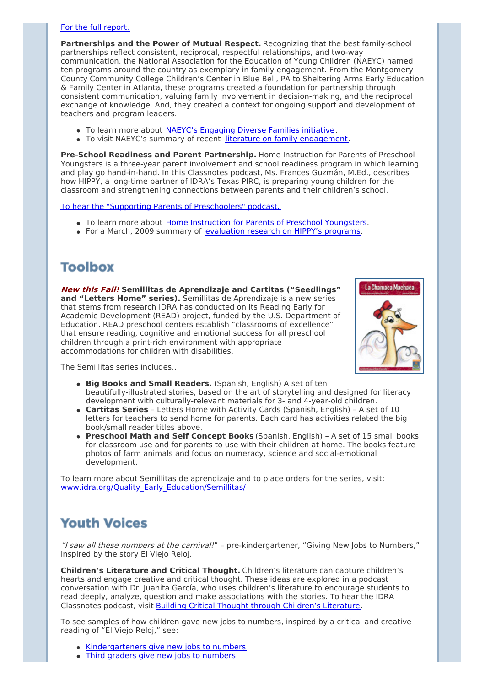#### For the full [report.](http://idra.createsend1.com/t/r/l/akiitl/l/h)

**Partnerships and the Power of Mutual Respect.** Recognizing that the best family-school partnerships reflect consistent, reciprocal, respectful relationships, and two-way communication, the National Association for the Education of Young Children (NAEYC) named ten programs around the country as exemplary in family engagement. From the Montgomery County Community College Children's Center in Blue Bell, PA to Sheltering Arms Early Education & Family Center in Atlanta, these programs created a foundation for partnership through consistent communication, valuing family involvement in decision-making, and the reciprocal exchange of knowledge. And, they created a context for ongoing support and development of teachers and program leaders.

- To learn more about NAEYC's [Engaging](http://idra.createsend1.com/t/r/l/akiitl/l/k) Diverse Families initiative.
- To visit NAEYC's summary of recent literature on family [engagement](http://idra.createsend1.com/t/r/l/akiitl/l/u).

**Pre-School Readiness and Parent Partnership.** Home Instruction for Parents of Preschool Youngsters is a three-year parent involvement and school readiness program in which learning and play go hand-in-hand. In this Classnotes podcast, Ms. Frances Guzmán, M.Ed., describes how HIPPY, a long-time partner of IDRA's Texas PIRC, is preparing young children for the classroom and strengthening connections between parents and their children's school.

To hear the "Supporting Parents of [Preschoolers"](http://idra.createsend1.com/t/r/l/akiitl/l/o) podcast.

- To learn more about Home Instruction for Parents of Preschool [Youngsters](http://idra.createsend1.com/t/r/l/akiitl/l/b).
- For a March, 2009 summary of [evaluation](http://idra.createsend1.com/t/r/l/akiitl/l/n) research on HIPPY's programs.

## **Toolbox**

**New this Fall! Semillitas de Aprendizaje and Cartitas ("Seedlings" and "Letters Home" series).** Semillitas de Aprendizaje is a new series that stems from research IDRA has conducted on its Reading Early for Academic Development (READ) project, funded by the U.S. Department of Education. READ preschool centers establish "classrooms of excellence" that ensure reading, cognitive and emotional success for all preschool children through a print-rich environment with appropriate accommodations for children with disabilities.



The Semillitas series includes…

- **Big Books and Small Readers.** (Spanish, English) A set of ten beautifully-illustrated stories, based on the art of storytelling and designed for literacy development with culturally-relevant materials for 3- and 4-year-old children.
- **Cartitas Series** Letters Home with Activity Cards (Spanish, English) A set of 10 letters for teachers to send home for parents. Each card has activities related the big book/small reader titles above.
- **Preschool Math and Self Concept Books** (Spanish, English) A set of 15 small books for classroom use and for parents to use with their children at home. The books feature photos of farm animals and focus on numeracy, science and social-emotional development.

To learn more about Semillitas de aprendizaje and to place orders for the series, visit: [www.idra.org/Quality\\_Early\\_Education/Semillitas/](http://idra.createsend1.com/t/r/l/akiitl/l/p)

## **Youth Voices**

"I saw all these numbers at the carnival!" - pre-kindergartener, "Giving New Jobs to Numbers," inspired by the story El Viejo Reloj.

**Children's Literature and Critical Thought.** Children's literature can capture children's hearts and engage creative and critical thought. These ideas are explored in a podcast conversation with Dr. Juanita García, who uses children's literature to encourage students to read deeply, analyze, question and make associations with the stories. To hear the IDRA Classnotes podcast, visit Building Critical Thought through [Children's](http://idra.createsend1.com/t/r/l/akiitl/l/x) Literature.

To see samples of how children gave new jobs to numbers, inspired by a critical and creative reading of "El Viejo Reloj," see:

- [Kindergarteners](http://idra.createsend1.com/t/r/l/akiitl/l/m) give new jobs to numbers
- Third graders give new jobs to [numbers](http://idra.createsend1.com/t/r/l/akiitl/l/c)